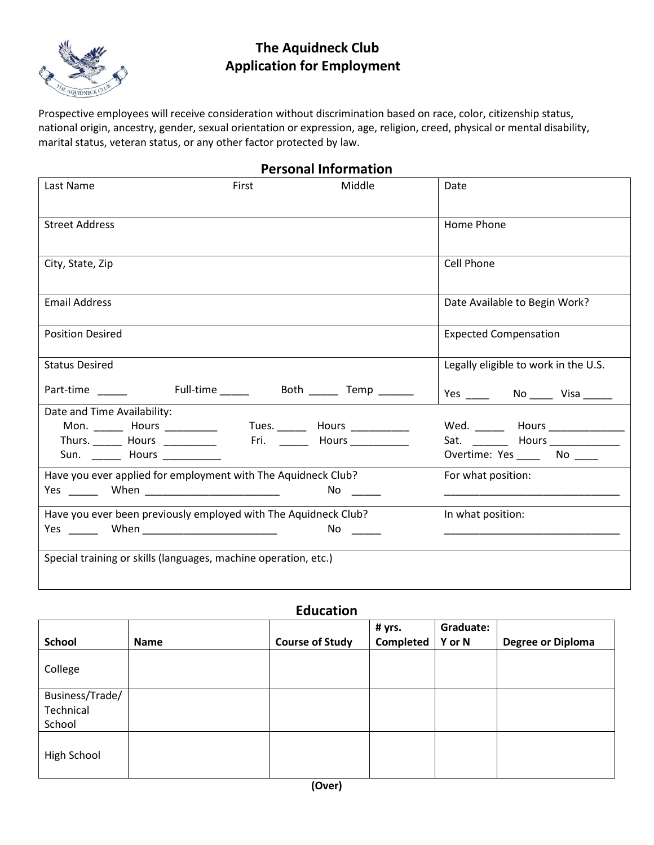

# **The Aquidneck Club Application for Employment**

Prospective employees will receive consideration without discrimination based on race, color, citizenship status, national origin, ancestry, gender, sexual orientation or expression, age, religion, creed, physical or mental disability, marital status, veteran status, or any other factor protected by law.

| <b>Personal Information</b>                                     |       |             |                                        |  |
|-----------------------------------------------------------------|-------|-------------|----------------------------------------|--|
| Last Name                                                       | First | Middle      | Date                                   |  |
| <b>Street Address</b>                                           |       |             | Home Phone                             |  |
| City, State, Zip                                                |       |             | <b>Cell Phone</b>                      |  |
| <b>Email Address</b>                                            |       |             | Date Available to Begin Work?          |  |
| <b>Position Desired</b>                                         |       |             | <b>Expected Compensation</b>           |  |
| <b>Status Desired</b>                                           |       |             | Legally eligible to work in the U.S.   |  |
| Part-time Full-time Both Temp                                   |       |             |                                        |  |
| Date and Time Availability:                                     |       |             |                                        |  |
|                                                                 |       |             | Wed. ________ Hours ________________   |  |
| Thurs. Hours Hours                                              |       | Fri. Hours  | Sat. ___________ Hours _______________ |  |
| Sun. __________ Hours ______________                            |       |             | Overtime: Yes ______ No _____          |  |
| Have you ever applied for employment with The Aquidneck Club?   |       |             | For what position:                     |  |
|                                                                 |       | No ____     |                                        |  |
| Have you ever been previously employed with The Aquidneck Club? |       |             | In what position:                      |  |
|                                                                 |       | No $\qquad$ |                                        |  |
| Special training or skills (languages, machine operation, etc.) |       |             |                                        |  |

**Education**

|                 |      |                        | # yrs.    | Graduate: |                          |
|-----------------|------|------------------------|-----------|-----------|--------------------------|
| <b>School</b>   | Name | <b>Course of Study</b> | Completed | Y or N    | <b>Degree or Diploma</b> |
| College         |      |                        |           |           |                          |
| Business/Trade/ |      |                        |           |           |                          |
| Technical       |      |                        |           |           |                          |
| School          |      |                        |           |           |                          |
| High School     |      |                        |           |           |                          |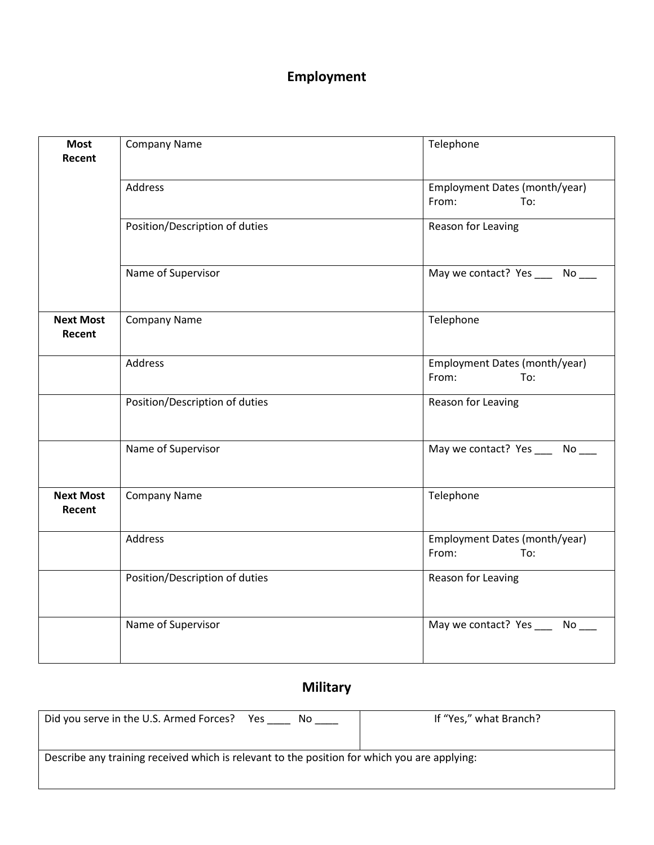# **Employment**

| <b>Most</b><br>Recent      | <b>Company Name</b>            | Telephone                                     |
|----------------------------|--------------------------------|-----------------------------------------------|
|                            | Address                        | Employment Dates (month/year)<br>From:<br>To: |
|                            | Position/Description of duties | Reason for Leaving                            |
|                            | Name of Supervisor             | May we contact? Yes _____ No ___              |
| <b>Next Most</b><br>Recent | <b>Company Name</b>            | Telephone                                     |
|                            | Address                        | Employment Dates (month/year)<br>From:<br>To: |
|                            | Position/Description of duties | Reason for Leaving                            |
|                            | Name of Supervisor             | May we contact? Yes _____ No ___              |
| <b>Next Most</b><br>Recent | <b>Company Name</b>            | Telephone                                     |
|                            | Address                        | Employment Dates (month/year)<br>From:<br>To: |
|                            | Position/Description of duties | Reason for Leaving                            |
|                            | Name of Supervisor             | May we contact? Yes _____ No ___              |

# **Military**

| Did you serve in the U.S. Armed Forces?<br>Yes<br>No.                                        | If "Yes," what Branch? |  |
|----------------------------------------------------------------------------------------------|------------------------|--|
|                                                                                              |                        |  |
|                                                                                              |                        |  |
| Describe any training received which is relevant to the position for which you are applying: |                        |  |
|                                                                                              |                        |  |
|                                                                                              |                        |  |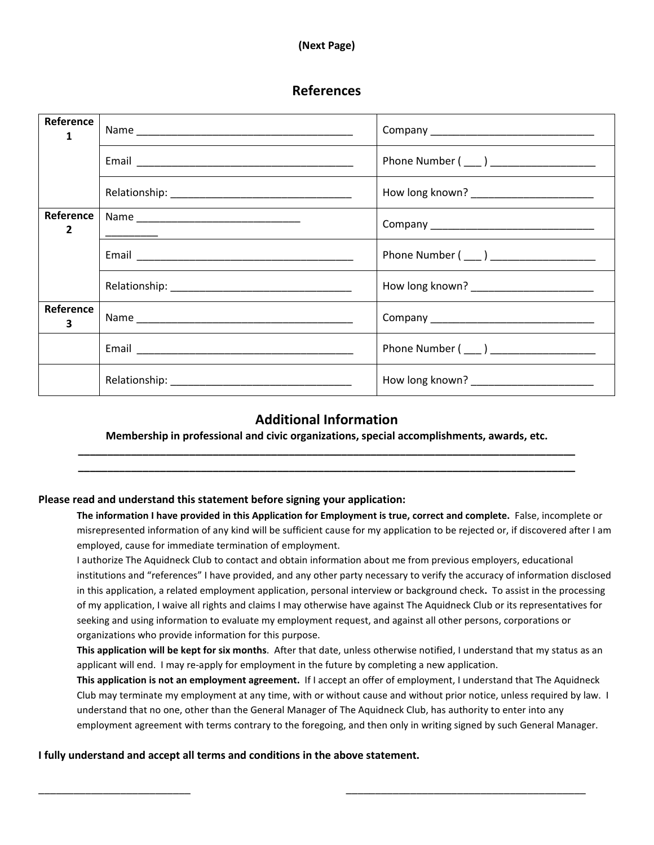#### **(Next Page)**

### **References**

| Reference<br>$\mathbf{1}$   |                                          |
|-----------------------------|------------------------------------------|
|                             |                                          |
|                             | How long known? ________________________ |
| Reference<br>$\overline{2}$ |                                          |
|                             |                                          |
|                             |                                          |
| Reference<br>3              |                                          |
|                             | Phone Number (____) __________________   |
|                             |                                          |

### **Additional Information**

**Membership in professional and civic organizations, special accomplishments, awards, etc. \_\_\_\_\_\_\_\_\_\_\_\_\_\_\_\_\_\_\_\_\_\_\_\_\_\_\_\_\_\_\_\_\_\_\_\_\_\_\_\_\_\_\_\_\_\_\_\_\_\_\_\_\_\_\_\_\_\_\_\_\_\_\_\_\_\_\_\_\_\_\_\_\_\_\_\_\_\_\_\_\_\_\_\_\_**

**\_\_\_\_\_\_\_\_\_\_\_\_\_\_\_\_\_\_\_\_\_\_\_\_\_\_\_\_\_\_\_\_\_\_\_\_\_\_\_\_\_\_\_\_\_\_\_\_\_\_\_\_\_\_\_\_\_\_\_\_\_\_\_\_\_\_\_\_\_\_\_\_\_\_\_\_\_\_\_\_\_\_\_\_\_** 

#### **Please read and understand this statement before signing your application:**

**The information I have provided in this Application for Employment is true, correct and complete.** False, incomplete or misrepresented information of any kind will be sufficient cause for my application to be rejected or, if discovered after I am employed, cause for immediate termination of employment.

I authorize The Aquidneck Club to contact and obtain information about me from previous employers, educational institutions and "references" I have provided, and any other party necessary to verify the accuracy of information disclosed in this application, a related employment application, personal interview or background check**.** To assist in the processing of my application, I waive all rights and claims I may otherwise have against The Aquidneck Club or its representatives for seeking and using information to evaluate my employment request, and against all other persons, corporations or organizations who provide information for this purpose.

**This application will be kept for six months**. After that date, unless otherwise notified, I understand that my status as an applicant will end. I may re-apply for employment in the future by completing a new application.

**This application is not an employment agreement.** If I accept an offer of employment, I understand that The Aquidneck Club may terminate my employment at any time, with or without cause and without prior notice, unless required by law. I understand that no one, other than the General Manager of The Aquidneck Club, has authority to enter into any employment agreement with terms contrary to the foregoing, and then only in writing signed by such General Manager.

\_\_\_\_\_\_\_\_\_\_\_\_\_\_\_\_\_\_\_\_\_\_\_\_\_\_ \_\_\_\_\_\_\_\_\_\_\_\_\_\_\_\_\_\_\_\_\_\_\_\_\_\_\_\_\_\_\_\_\_\_\_\_\_\_\_\_\_

#### **I fully understand and accept all terms and conditions in the above statement.**